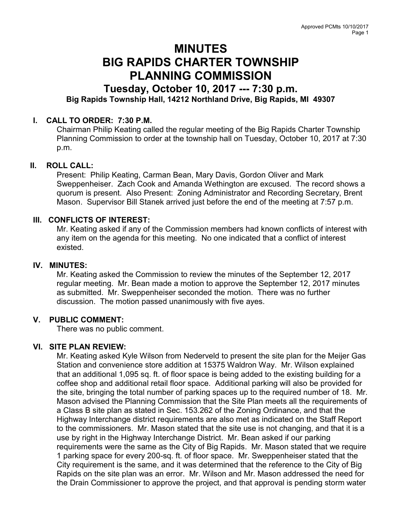# MINUTES BIG RAPIDS CHARTER TOWNSHIP PLANNING COMMISSION

## Tuesday, October 10, 2017 --- 7:30 p.m. Big Rapids Township Hall, 14212 Northland Drive, Big Rapids, MI 49307

## I. CALL TO ORDER: 7:30 P.M.

Chairman Philip Keating called the regular meeting of the Big Rapids Charter Township Planning Commission to order at the township hall on Tuesday, October 10, 2017 at 7:30 p.m.

## II. ROLL CALL:

Present: Philip Keating, Carman Bean, Mary Davis, Gordon Oliver and Mark Sweppenheiser. Zach Cook and Amanda Wethington are excused. The record shows a quorum is present. Also Present: Zoning Administrator and Recording Secretary, Brent Mason. Supervisor Bill Stanek arrived just before the end of the meeting at 7:57 p.m.

## III. CONFLICTS OF INTEREST:

Mr. Keating asked if any of the Commission members had known conflicts of interest with any item on the agenda for this meeting. No one indicated that a conflict of interest existed.

#### IV. MINUTES:

Mr. Keating asked the Commission to review the minutes of the September 12, 2017 regular meeting. Mr. Bean made a motion to approve the September 12, 2017 minutes as submitted. Mr. Sweppenheiser seconded the motion. There was no further discussion. The motion passed unanimously with five ayes.

## V. PUBLIC COMMENT:

There was no public comment.

## VI. SITE PLAN REVIEW:

Mr. Keating asked Kyle Wilson from Nederveld to present the site plan for the Meijer Gas Station and convenience store addition at 15375 Waldron Way. Mr. Wilson explained that an additional 1,095 sq. ft. of floor space is being added to the existing building for a coffee shop and additional retail floor space. Additional parking will also be provided for the site, bringing the total number of parking spaces up to the required number of 18. Mr. Mason advised the Planning Commission that the Site Plan meets all the requirements of a Class B site plan as stated in Sec. 153.262 of the Zoning Ordinance, and that the Highway Interchange district requirements are also met as indicated on the Staff Report to the commissioners. Mr. Mason stated that the site use is not changing, and that it is a use by right in the Highway Interchange District. Mr. Bean asked if our parking requirements were the same as the City of Big Rapids. Mr. Mason stated that we require 1 parking space for every 200-sq. ft. of floor space. Mr. Sweppenheiser stated that the City requirement is the same, and it was determined that the reference to the City of Big Rapids on the site plan was an error. Mr. Wilson and Mr. Mason addressed the need for the Drain Commissioner to approve the project, and that approval is pending storm water